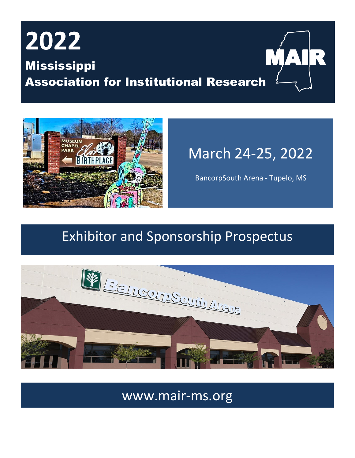## **2022** R AN Mississippi Association for Institutional Research



# March 24-25, 2022

BancorpSouth Arena - Tupelo, MS

## Exhibitor and Sponsorship Prospectus



www.mair-ms.org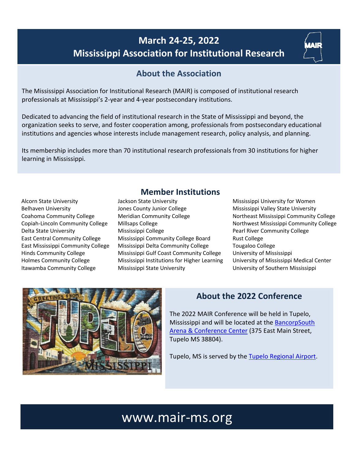## **March 24-25, 2022 Mississippi Association for Institutional Research**

## **About the Association**

The Mississippi Association for Institutional Research (MAIR) is composed of institutional research professionals at Mississippi's 2-year and 4-year postsecondary institutions.

Dedicated to advancing the field of institutional research in the State of Mississippi and beyond, the organization seeks to serve, and foster cooperation among, professionals from postsecondary educational institutions and agencies whose interests include management research, policy analysis, and planning.

Its membership includes more than 70 institutional research professionals from 30 institutions for higher learning in Mississippi.

Alcorn State University The State University Mississippi University for Women

## **Member Institutions**

Belhaven University The State University Jones County Junior College The Mississippi Valley State University Coahoma Community College Meridian Community College Northeast Mississippi Community College Copiah-Lincoln Community College Millsaps College Northwest Mississippi Community College Delta State University **Mississippi College** Pearl River Community College **Pearl River Community College** East Central Community College Mississippi Community College Board Rust College East Mississippi Community College Mississippi Delta Community College Tougaloo College Hinds Community College Mississippi Gulf Coast Community College University of Mississippi Holmes Community College Mississippi Institutions for Higher Learning University of Mississippi Medical Center Itawamba Community College Mississippi State University University of Southern Mississippi



## **About the 2022 Conference**

The 2022 MAIR Conference will be held in Tupelo, Mississippi and will be located at the [BancorpSouth](https://www.bcsarena.com/) [Arena & Conference Center](https://www.bcsarena.com/) (375 East Main Street, Tupelo MS 38804).

Tupelo, MS is served by the [Tupelo Regional Airport.](https://flytupelo.com/)

## www.mair-ms.org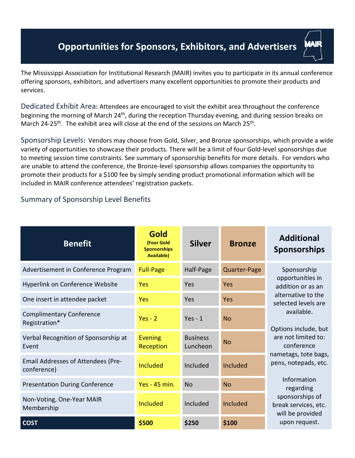## **Opportunities for Sponsors, Exhibitors, and Advertisers**

The Mississippi Association for Institutional Research (MAIR) invites you to participate in its annual conference offering sponsors, exhibitors, and advertisers many excellent opportunities to promote their products and services.

Dedicated Exhibit Area**:** Attendees are encouraged to visit the exhibit area throughout the conference beginning the morning of March 24<sup>th</sup>, during the reception Thursday evening, and during session breaks on March 24-25<sup>th</sup>. The exhibit area will close at the end of the sessions on March 25<sup>th</sup>.

Sponsorship Levels**:** Vendors may choose from Gold, Silver, and Bronze sponsorships, which provide a wide variety of opportunities to showcase their products. There will be a limit of four Gold-level sponsorships due to meeting session time constraints. See summary of sponsorship benefits for more details. For vendors who are unable to attend the conference, the Bronze-level sponsorship allows companies the opportunity to promote their products for a \$100 fee by simply sending product promotional information which will be included in MAIR conference attendees' registration packets.

## Summary of Sponsorship Level Benefits

| <b>Benefit</b>                                           | Gold<br>(Four Gold<br><b>Sponsorships</b><br><b>Available)</b> | <b>Silver</b>               | <b>Bronze</b> | <b>Additional</b><br><b>Sponsorships</b>                                                                                                                                                                                                                                                                                                 |
|----------------------------------------------------------|----------------------------------------------------------------|-----------------------------|---------------|------------------------------------------------------------------------------------------------------------------------------------------------------------------------------------------------------------------------------------------------------------------------------------------------------------------------------------------|
| Advertisement in Conference Program                      | <b>Full-Page</b>                                               | Half-Page                   | Quarter-Page  | Sponsorship<br>opportunities in<br>addition or as an<br>alternative to the<br>selected levels are<br>available.<br>Options include, but<br>are not limited to:<br>conference<br>nametags, tote bags,<br>pens, notepads, etc.<br>Information<br>regarding<br>sponsorships of<br>break services, etc.<br>will be provided<br>upon request. |
| Hyperlink on Conference Website                          | <b>Yes</b>                                                     | Yes                         | Yes           |                                                                                                                                                                                                                                                                                                                                          |
| One insert in attendee packet                            | <b>Yes</b>                                                     | Yes                         | Yes           |                                                                                                                                                                                                                                                                                                                                          |
| <b>Complimentary Conference</b><br>Registration*         | $Yes - 2$                                                      | $Yes - 1$                   | <b>No</b>     |                                                                                                                                                                                                                                                                                                                                          |
| Verbal Recognition of Sponsorship at<br>Event            | <b>Evening</b><br>Reception                                    | <b>Business</b><br>Luncheon | <b>No</b>     |                                                                                                                                                                                                                                                                                                                                          |
| <b>Email Addresses of Attendees (Pre-</b><br>conference) | <b>Included</b>                                                | Included                    | Included      |                                                                                                                                                                                                                                                                                                                                          |
| <b>Presentation During Conference</b>                    | Yes - 45 min.                                                  | <b>No</b>                   | <b>No</b>     |                                                                                                                                                                                                                                                                                                                                          |
| Non-Voting, One-Year MAIR<br>Membership                  | <b>Included</b>                                                | Included                    | Included      |                                                                                                                                                                                                                                                                                                                                          |
| <b>COST</b>                                              | \$500                                                          | \$250                       | \$100         |                                                                                                                                                                                                                                                                                                                                          |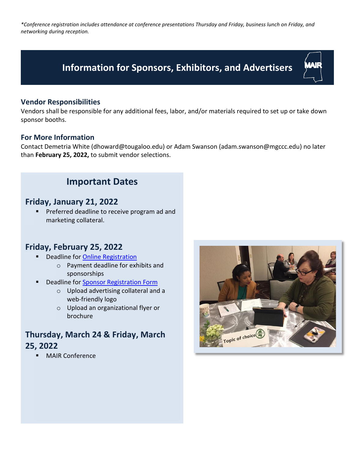*\*Conference registration includes attendance at conference presentations Thursday and Friday, business lunch on Friday, and networking during reception.*

## **Information for Sponsors, Exhibitors, and Advertisers**

#### **Vendor Responsibilities**

Vendors shall be responsible for any additional fees, labor, and/or materials required to set up or take down sponsor booths.

#### **For More Information**

Contact Demetria White (dhoward@tougaloo.edu) or Adam Swanson (adam.swanson@mgccc.edu) no later than **February 25, 2022,** to submit vendor selections.

## **Important Dates**

### **Friday, January 21, 2022**

**Preferred deadline to receive program ad and** marketing collateral.

## **Friday, February 25, 2022**

- Deadline for [Online Registration](https://www.mair-ms.org/conference-registration)
	- o Payment deadline for exhibits and sponsorships
	- Deadline for [Sponsor Registration Form](https://mgccc.forms-db.com/view.php?id=52714)
		- o Upload advertising collateral and a web-friendly logo
		- o Upload an organizational flyer or brochure

## **Thursday, March 24 & Friday, March 25, 2022**

MAIR Conference